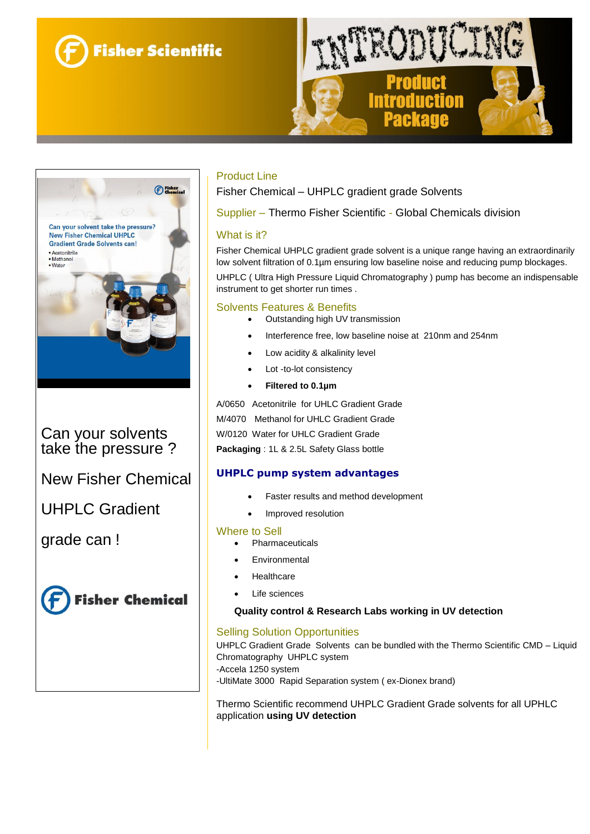





Can your solvents take the pressure ?

New Fisher Chemical

UHPLC Gradient

grade can !



# Product Line

Fisher Chemical – UHPLC gradient grade Solvents

Supplier – Thermo Fisher Scientific - Global Chemicals division

## What is it?

Fisher Chemical UHPLC gradient grade solvent is a unique range having an extraordinarily low solvent filtration of 0.1µm ensuring low baseline noise and reducing pump blockages. UHPLC ( Ultra High Pressure Liquid Chromatography ) pump has become an indispensable instrument to get shorter run times .

## Solvents Features & Benefits

- Outstanding high UV transmission
- Interference free, low baseline noise at 210nm and 254nm
- Low acidity & alkalinity level
- Lot -to-lot consistency
- **Filtered to 0.1µm**

A/0650 Acetonitrile for UHLC Gradient Grade M/4070 Methanol for UHLC Gradient Grade W/0120 Water for UHLC Gradient Grade **Packaging** : 1L & 2.5L Safety Glass bottle

# **UHPLC pump system advantages**

- Faster results and method development
- Improved resolution

#### Where to Sell

- Pharmaceuticals
- Environmental
- **Healthcare**
- Life sciences

#### **Quality control & Research Labs working in UV detection**

#### Selling Solution Opportunities

UHPLC Gradient Grade Solvents can be bundled with the Thermo Scientific CMD – Liquid Chromatography UHPLC system -Accela 1250 system -UltiMate 3000 Rapid Separation system ( ex-Dionex brand)

Thermo Scientific recommend UHPLC Gradient Grade solvents for all UPHLC application **using UV detection**